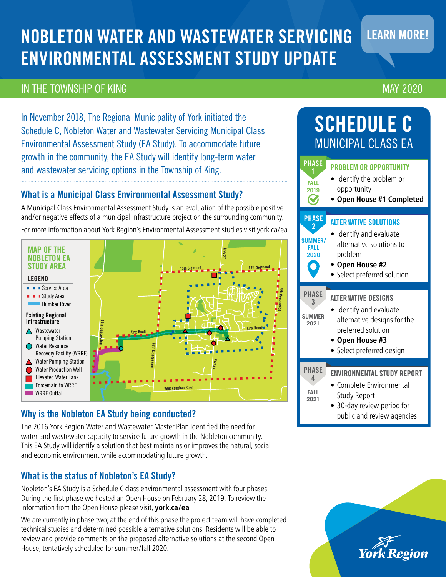## NOBLETON WATER AND WASTEWATER SERVICING ENVIRONMENTAL ASSESSMENT STUDY UPDATE

#### IN THE TOWNSHIP OF KING MAY 2020 AND THE TOWNSHIP OF KING MAY AND THE TOWNSHIP OF KING MAY 2020

LEARN MORE!

In November 2018, The Regional Municipality of York initiated the Schedule C, Nobleton Water and Wastewater Servicing Municipal Class Environmental Assessment Study (EA Study). To accommodate future growth in the community, the EA Study will identify long-term water and wastewater servicing options in the Township of King.

#### What is a Municipal Class Environmental Assessment Study?

A Municipal Class Environmental Assessment Study is an evaluation of the possible positive and/or negative effects of a municipal infrastructure project on the surrounding community. For more information about York Region's Environmental Assessment studies visit york.ca/ea



#### Why is the Nobleton EA Study being conducted?

The 2016 York Region Water and Wastewater Master Plan identified the need for water and wastewater capacity to service future growth in the Nobleton community. This EA Study will identify a solution that best maintains or improves the natural, social and economic environment while accommodating future growth.

### What is the status of Nobleton's EA Study?

Nobleton's EA Study is a Schedule C class environmental assessment with four phases. During the first phase we hosted an Open House on February 28, 2019. To review the information from the Open House please visit, **york.ca/ea** 

We are currently in phase two; at the end of this phase the project team will have completed technical studies and determined possible alternative solutions. Residents will be able to review and provide comments on the proposed alternative solutions at the second Open House, tentatively scheduled for summer/fall 2020.